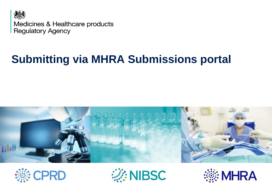

Medicines & Healthcare products **Regulatory Agency** 

## **Submitting via MHRA Submissions portal**







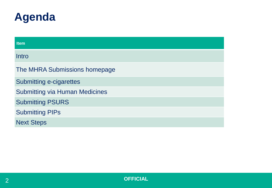

| <b>Item</b>                           |
|---------------------------------------|
| Intro                                 |
| The MHRA Submissions homepage         |
| <b>Submitting e-cigarettes</b>        |
| <b>Submitting via Human Medicines</b> |
| <b>Submitting PSURS</b>               |
| <b>Submitting PIPs</b>                |
| <b>Next Steps</b>                     |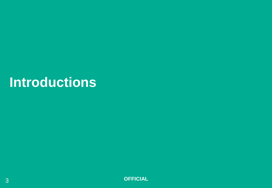# **Introductions**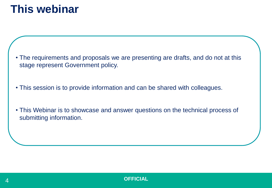#### **This webinar**

- The requirements and proposals we are presenting are drafts, and do not at this stage represent Government policy.
- This session is to provide information and can be shared with colleagues.
- This Webinar is to showcase and answer questions on the technical process of submitting information.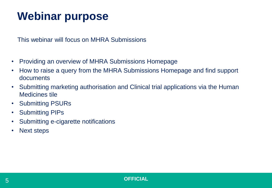#### **Webinar purpose**

This webinar will focus on MHRA Submissions

- Providing an overview of MHRA Submissions Homepage
- How to raise a query from the MHRA Submissions Homepage and find support documents
- Submitting marketing authorisation and Clinical trial applications via the Human Medicines tile
- Submitting PSURs
- Submitting PIPs
- Submitting e-cigarette notifications
- Next steps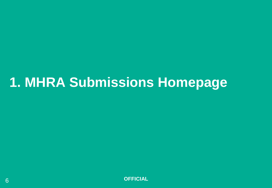# **1. MHRA Submissions Homepage**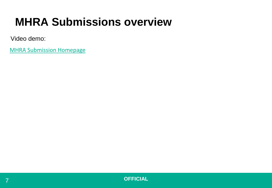### **MHRA Submissions overview**

Video demo:

[MHRA Submission Homepage](https://mhra-transfer.sharefile.com/d-s5a24867770d4a24a)

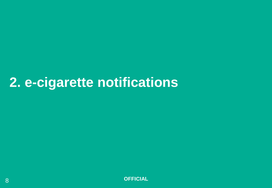# **2. e-cigarette notifications**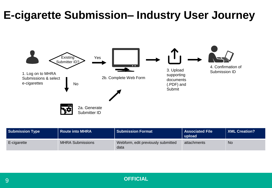#### **E-cigarette Submission– Industry User Journey**



| <b>Submission Type</b> | <b>Route into MHRA</b>  | Submission Format                          | Associated File<br>upload | XML Creation? |
|------------------------|-------------------------|--------------------------------------------|---------------------------|---------------|
| E-cigarette            | <b>MHRA Submissions</b> | Webform, edit previously submitted<br>data | attachments               | <b>No</b>     |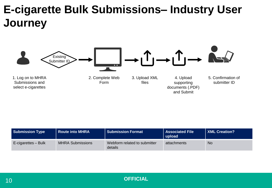## **E-cigarette Bulk Submissions– Industry User Journey**



| <b>Submission Type</b> | <b>Route into MHRA</b>  | <b>Submission Format</b>                | l Associated File<br>upload | <b>XML Creation?</b> |
|------------------------|-------------------------|-----------------------------------------|-----------------------------|----------------------|
| E-cigarettes – Bulk    | <b>MHRA Submissions</b> | Webform related to submitter<br>details | attachments                 | <b>No</b>            |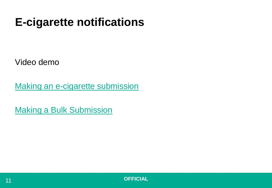## **E-cigarette notifications**

Video demo

[Making an e-cigarette submission](https://mhra-transfer.sharefile.com/d-s9b3e1bc235a4c16a)

[Making a Bulk Submission](https://mhra-transfer.sharefile.com/d-sae5a101001743d29)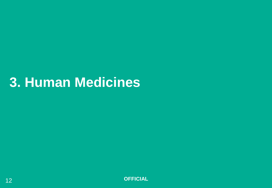# **3. Human Medicines**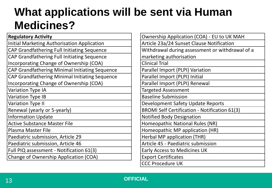## **What applications will be sent via Human Medicines?**

| <b>Regulatory Activity</b>                            |
|-------------------------------------------------------|
| <b>Initial Marketing Authorisation Application</b>    |
| CAP Grandfathering Full Initiating Sequence           |
| <b>CAP Grandfathering Full Initiating Sequence</b>    |
| Incorporating Change of Ownership (COA)               |
| CAP Grandfathering Minimal Initiating Sequence        |
| <b>CAP Grandfathering Minimal Initiating Sequence</b> |
| Incorporating Change of Ownership (COA)               |
| <b>Variation Type IA</b>                              |
| <b>Variation Type IB</b>                              |
| <b>Variation Type II</b>                              |
| Renewal (yearly or 5-yearly)                          |
| <b>Information Update</b>                             |
| <b>Active Substance Master File</b>                   |
| <b>Plasma Master File</b>                             |
| Paediatric submission, Article 29                     |
| Paediatric submission, Article 46                     |
| Full PIQ assessment - Notification 61(3)              |
| <b>Change of Ownership Application (COA)</b>          |

| <b>Ownership Application (COA) - EU to UK MAH</b>    |
|------------------------------------------------------|
| Article 23a/24 Sunset Clause Notification            |
| Withdrawal during assessment or withdrawal of a      |
| marketing authorisation                              |
| <b>Clinical Trial</b>                                |
| Parallel Import (PLPI) Variation                     |
| Parallel Import (PLPI) Initial                       |
| Parallel Import (PLPI) Renewal                       |
| <b>Targeted Assessment</b>                           |
| <b>Baseline Submission</b>                           |
| Development Safety Update Reports                    |
| <b>BROMI Self Certification - Notification 61(3)</b> |
| <b>Notified Body Designation</b>                     |
| Homeopathic National Rules (NR)                      |
| Homeopathic MP application (HR)                      |
| Herbal MP application (THR)                          |
| Article 45 - Paediatric submission                   |
| <b>Early Access to Medicines UK</b>                  |
| <b>Export Certificates</b>                           |
| <b>CCC Procedure UK</b>                              |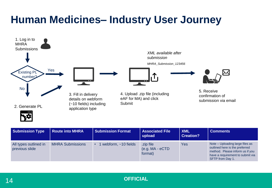#### **Human Medicines– Industry User Journey**



| <b>Submission Type</b>                  | <b>Route into MHRA</b>  | <b>Submission Format</b>    | <b>Associated File</b><br>upload           | <b>XML</b><br><b>Creation?</b> | <b>Comments</b>                                                                                                                                              |
|-----------------------------------------|-------------------------|-----------------------------|--------------------------------------------|--------------------------------|--------------------------------------------------------------------------------------------------------------------------------------------------------------|
| All types outlined in<br>previous slide | <b>MHRA Submissions</b> | 1 webform, $\sim$ 10 fields | .zip file<br>$(e.g. MA - eCTD)$<br>format) | Yes                            | Note – Uploading large files as<br>outlined here is the preferred<br>method. Please inform us if you<br>have a requirement to submit via<br>SFTP from Day 1. |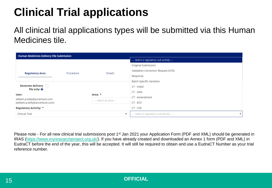## **Clinical Trial applications**

All clinical trial applications types will be submitted via this Human Medicines tile.

| <b>Human Medicines Delivery File Submission</b>                                            |           |                          |                                                                      |  |
|--------------------------------------------------------------------------------------------|-----------|--------------------------|----------------------------------------------------------------------|--|
|                                                                                            |           |                          | --- Select a regulatory sub activity ---                             |  |
|                                                                                            |           |                          | <b>Original Submission</b>                                           |  |
| <b>Regulatory Area</b>                                                                     | Procedure | Emails                   | Validation Correction Request (VCR)                                  |  |
|                                                                                            |           |                          | Response                                                             |  |
|                                                                                            |           |                          | <b>Batch Specific Variation</b>                                      |  |
| <b>Generate delivery</b>                                                                   |           |                          | CT - Initial                                                         |  |
| file only: <sup>O</sup>                                                                    |           | Area: *                  | CT - GNA                                                             |  |
| User:                                                                                      |           |                          | CT - Amendment                                                       |  |
| william.p.kelly@accenture.com<br>--- Select an area ---<br>(william.p.kelly@accenture.com) |           |                          | CT - EOT                                                             |  |
| <b>Regulatory Activity: *</b>                                                              |           |                          | CT - CSR                                                             |  |
| <b>Clinical Trial</b>                                                                      |           | $\overline{\phantom{a}}$ | --- Select a regulatory sub activity ---<br>$\overline{\phantom{a}}$ |  |

Please note - For all new clinical trial submissions post 1<sup>st</sup> Jan 2021 your Application Form (PDF and XML) should be generated in IRAS ([https://www.myresearchproject.org.uk/\)](https://www.myresearchproject.org.uk/). If you have already created and downloaded an Annex 1 form (PDF and XML) in EudraCT before the end of the year, this will be accepted. It will still be required to obtain and use a EudraCT Number as your trial reference number.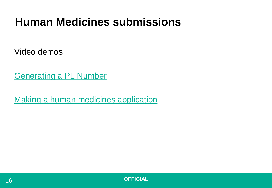## **Human Medicines submissions**

Video demos

[Generating a PL Number](https://mhra-transfer.sharefile.com/d-s08d5a4c957540568)

[Making a human medicines application](https://mhra-transfer.sharefile.com/d-s9288c3c54b94d65b)

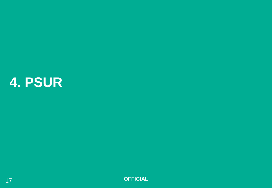# **4. PSUR**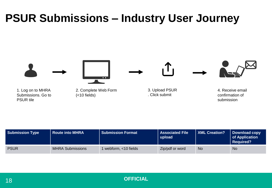#### **PSUR Submissions – Industry User Journey**



| <b>Submission Type</b> | <b>Route into MHRA</b>  | Submission Format     | <b>Associated File</b><br>upload | XML Creation? | Download copy<br>of Application<br><b>Required?</b> |
|------------------------|-------------------------|-----------------------|----------------------------------|---------------|-----------------------------------------------------|
| <b>PSUR</b>            | <b>MHRA Submissions</b> | l webform, <10 fields | Zip/pdf or word                  | <b>No</b>     | <b>No</b>                                           |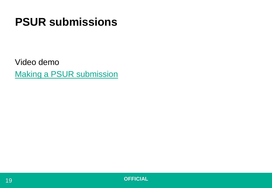## **PSUR submissions**

Video demo [Making a PSUR submission](https://mhra-transfer.sharefile.com/d-s24ae5f1192841b4b)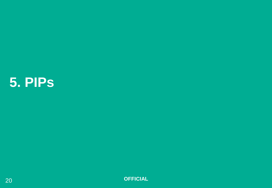# **5. PIPs**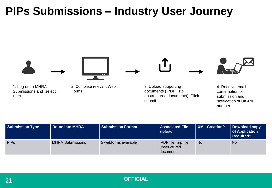### **PIPs Submissions – Industry User Journey**



| <b>Submission Type</b> | <b>Route into MHRA</b>  | <b>Submission Format</b> | <b>Associated File</b><br>upload                   | XML Creation? | Download copy<br>of Application<br><b>Required?</b> |
|------------------------|-------------------------|--------------------------|----------------------------------------------------|---------------|-----------------------------------------------------|
| <b>PIPs</b>            | <b>MHRA Submissions</b> | 5 webforms available     | .PDF file, .zip file,<br>unstructured<br>documents | <b>No</b>     | <b>No</b>                                           |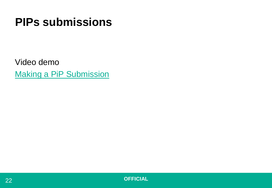## **PIPs submissions**

Video demo [Making a PiP](https://mhra-transfer.sharefile.com/d-sbb439ba38dc486d9) Submission